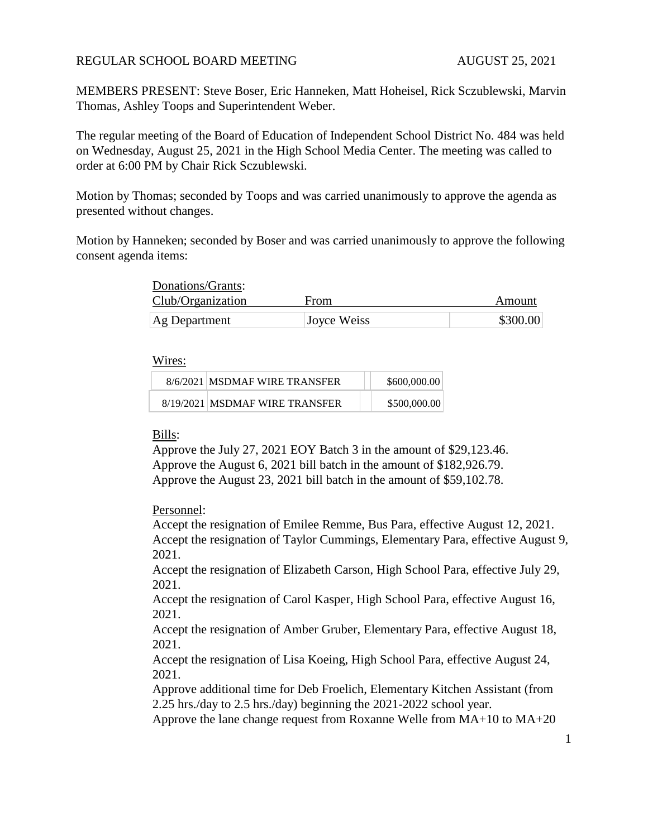## REGULAR SCHOOL BOARD MEETING AUGUST 25, 2021

MEMBERS PRESENT: Steve Boser, Eric Hanneken, Matt Hoheisel, Rick Sczublewski, Marvin Thomas, Ashley Toops and Superintendent Weber.

The regular meeting of the Board of Education of Independent School District No. 484 was held on Wednesday, August 25, 2021 in the High School Media Center. The meeting was called to order at 6:00 PM by Chair Rick Sczublewski.

Motion by Thomas; seconded by Toops and was carried unanimously to approve the agenda as presented without changes.

Motion by Hanneken; seconded by Boser and was carried unanimously to approve the following consent agenda items:

| Donations/Grants: |             |          |
|-------------------|-------------|----------|
| Club/Organization | From        | Amount   |
| Ag Department     | Joyce Weiss | \$300.00 |

## Wires:

| 8/6/2021 MSDMAF WIRE TRANSFER  | \$600,000.00 |
|--------------------------------|--------------|
| 8/19/2021 MSDMAF WIRE TRANSFER | \$500,000.00 |

## Bills:

Approve the July 27, 2021 EOY Batch 3 in the amount of \$29,123.46. Approve the August 6, 2021 bill batch in the amount of \$182,926.79. Approve the August 23, 2021 bill batch in the amount of \$59,102.78.

## Personnel:

Accept the resignation of Emilee Remme, Bus Para, effective August 12, 2021. Accept the resignation of Taylor Cummings, Elementary Para, effective August 9, 2021.

Accept the resignation of Elizabeth Carson, High School Para, effective July 29, 2021.

Accept the resignation of Carol Kasper, High School Para, effective August 16, 2021.

Accept the resignation of Amber Gruber, Elementary Para, effective August 18, 2021.

Accept the resignation of Lisa Koeing, High School Para, effective August 24, 2021.

Approve additional time for Deb Froelich, Elementary Kitchen Assistant (from 2.25 hrs./day to 2.5 hrs./day) beginning the 2021-2022 school year.

Approve the lane change request from Roxanne Welle from MA+10 to MA+20